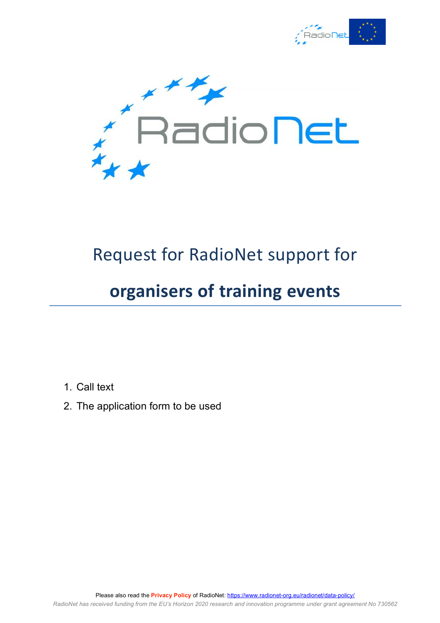



# Request for RadioNet support for

## **organisers of training events**

- 1. Call text
- 2. The application form to be used

Please also read the **Privacy Policy** of RadioNet: https://www.radionet-org.eu/radionet/data-policy/ *RadioNet has received funding from the EU's Horizon 2020 research and innovation programme under grant agreement No 730562*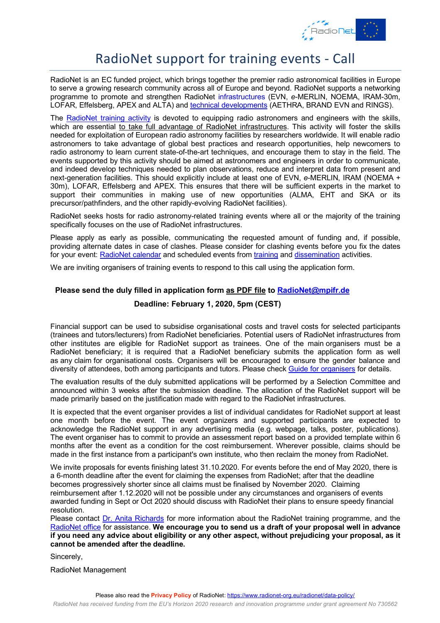

### RadioNet support for training events - Call

RadioNet is an EC funded project, which brings together the premier radio astronomical facilities in Europe to serve a growing research community across all of Europe and beyond. RadioNet supports a networking programme to promote and strengthen RadioNet infrastructures (EVN, *e*-MERLIN, NOEMA, IRAM-30m, LOFAR, Effelsberg, APEX and ALTA) and technical developments (AETHRA, BRAND EVN and RINGS).

The RadioNet training activity is devoted to equipping radio astronomers and engineers with the skills, which are essential to take full advantage of RadioNet infrastructures. This activity will foster the skills needed for exploitation of European radio astronomy facilities by researchers worldwide. It will enable radio astronomers to take advantage of global best practices and research opportunities, help newcomers to radio astronomy to learn current state-of-the-art techniques, and encourage them to stay in the field. The events supported by this activity should be aimed at astronomers and engineers in order to communicate, and indeed develop techniques needed to plan observations, reduce and interpret data from present and next-generation facilities. This should explicitly include at least one of EVN, *e*-MERLIN, IRAM (NOEMA + 30m), LOFAR, Effelsberg and APEX. This ensures that there will be sufficient experts in the market to support their communities in making use of new opportunities (ALMA, EHT and SKA or its precursor/pathfinders, and the other rapidly-evolving RadioNet facilities).

RadioNet seeks hosts for radio astronomy-related training events where all or the majority of the training specifically focuses on the use of RadioNet infrastructures.

Please apply as early as possible, communicating the requested amount of funding and, if possible, providing alternate dates in case of clashes. Please consider for clashing events before you fix the dates for your event: RadioNet calendar and scheduled events from training and dissemination activities.

We are inviting organisers of training events to respond to this call using the application form.

#### **Please send the duly filled in application form as PDF file to RadioNet@mpifr.de**

#### **Deadline: February 1, 2020, 5pm (CEST)**

Financial support can be used to subsidise organisational costs and travel costs for selected participants (trainees and tutors/lecturers) from RadioNet beneficiaries. Potential users of RadioNet infrastructures from other institutes are eligible for RadioNet support as trainees. One of the main organisers must be a RadioNet beneficiary; it is required that a RadioNet beneficiary submits the application form as well as any claim for organisational costs. Organisers will be encouraged to ensure the gender balance and diversity of attendees, both among participants and tutors. Please check Guide for organisers for details.

The evaluation results of the duly submitted applications will be performed by a Selection Committee and announced within 3 weeks after the submission deadline. The allocation of the RadioNet support will be made primarily based on the justification made with regard to the RadioNet infrastructures.

It is expected that the event organiser provides a list of individual candidates for RadioNet support at least one month before the event. The event organizers and supported participants are expected to acknowledge the RadioNet support in any advertising media (e.g. webpage, talks, poster, publications). The event organiser has to commit to provide an assessment report based on a provided template within 6 months after the event as a condition for the cost reimbursement. Wherever possible, claims should be made in the first instance from a participant's own institute, who then reclaim the money from RadioNet.

We invite proposals for events finishing latest 31.10.2020. For events before the end of May 2020, there is a 6-month deadline after the event for claiming the expenses from RadioNet; after that the deadline becomes progressively shorter since all claims must be finalised by November 2020. Claiming reimbursement after 1.12.2020 will not be possible under any circumstances and organisers of events awarded funding in Sept or Oct 2020 should discuss with RadioNet their plans to ensure speedy financial resolution.

Please contact Dr. Anita Richards for more information about the RadioNet training programme, and the RadioNet office for assistance. **We encourage you to send us a draft of your proposal well in advance if you need any advice about eligibility or any other aspect, without prejudicing your proposal, as it cannot be amended after the deadline.**

Sincerely,

RadioNet Management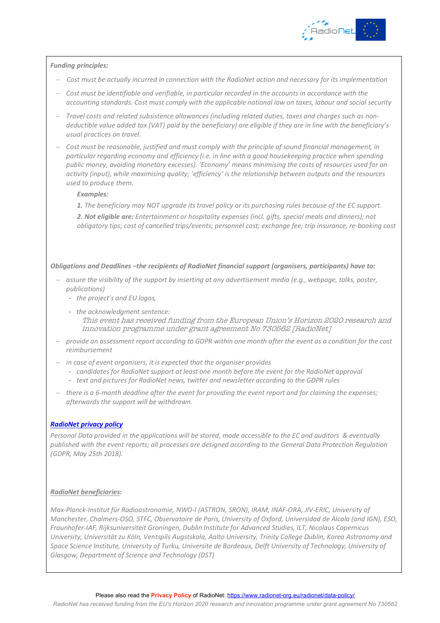

#### *Funding principles:*

- *Cost must be actually incurred in connection with the RadioNet action and necessary for its implementation*
- *Cost must be identifiable and verifiable, in particular recorded in the accounts in accordance with the accounting standards. Cost must comply with the applicable national law on taxes, labour and social security*
- *Travel costs and related subsistence allowances (including related duties, taxes and charges such as nondeductible value added tax (VAT) paid by the beneficiary) are eligible if they are in line with the beneficiary's usual practices on travel.*
- *Cost must be reasonable, justified and must comply with the principle of sound financial management, in particular regarding economy and efficiency (i.e. in line with a good housekeeping practice when spending public money, avoiding monetary excesses). 'Economy' means minimising the costs of resources used for an activity (input), while maximising quality; 'efficiency' is the relationship between outputs and the resources used to produce them.*

#### *Examples:*

*1. The beneficiary may NOT upgrade its travel policy or its purchasing rules because of the EC support. 2. Not eligible are: Entertainment or hospitality expenses (incl. gifts, special meals and dinners); not obligatory tips; cost of cancelled trips/events; personnel cost; exchange fee; trip insurance, re-booking cost*

*Obligations and Deadlines −the recipients of RadioNet financial support (organisers, participants) have to:*

- *assure the visibility of the support by inserting at any advertisement media (e.g., webpage, talks, poster, publications)*
	- *the project's and EU logos,*
	- *the acknowledgment sentence:* This event has received funding from the European Union's Horizon 2020 research and innovation programme under grant agreement No 730562 [RadioNet]
- *provide an assessment report according to GDPR within one month after the event as a condition for the cost reimbursement*
- *in case of event organisers, it is expected that the organiser provides*
	- *candidates for RadioNet support at least one month before the event for the RadioNet approval*
	- *text and pictures for RadioNet news, twitter and newsletter according to the GDPR rules*
- *there is a 6-month deadline after the event for providing the event report and for claiming the expenses; afterwards the support will be withdrawn.*

#### *RadioNet privacy policy*

*Personal Data provided in the applications will be stored, made accessible to the EC and auditors & eventually published with the event reports; all processes are designed according to the General Data Protection Regulation (GDPR, May 25th 2018).*

#### *RadioNet beneficiaries:*

*Max-Planck-Institut für Radioastronomie, NWO-I (ASTRON, SRON), IRAM, INAF-ORA, JIV-ERIC, University of Manchester, Chalmers-OSO, STFC, Observatoire de Paris, University of Oxford, Universidad de Alcala (and IGN), ESO, Fraunhofer-IAF, Rijksuniversiteit Groningen, Dublin Institute for Advanced Studies, ILT, Nicolaus Copernicus University, Universität zu Köln, Ventspils Augstskola, Aalto University, Trinity College Dublin, Korea Astronomy and*  Space Science Institute, University of Turku, Universite de Bordeaux, Delft University of Technology, University of *Glasgow, Department of Science and Technology (DST)*

Please also read the **Privacy Policy** of RadioNet: https://www.radionet-org.eu/radionet/data-policy/